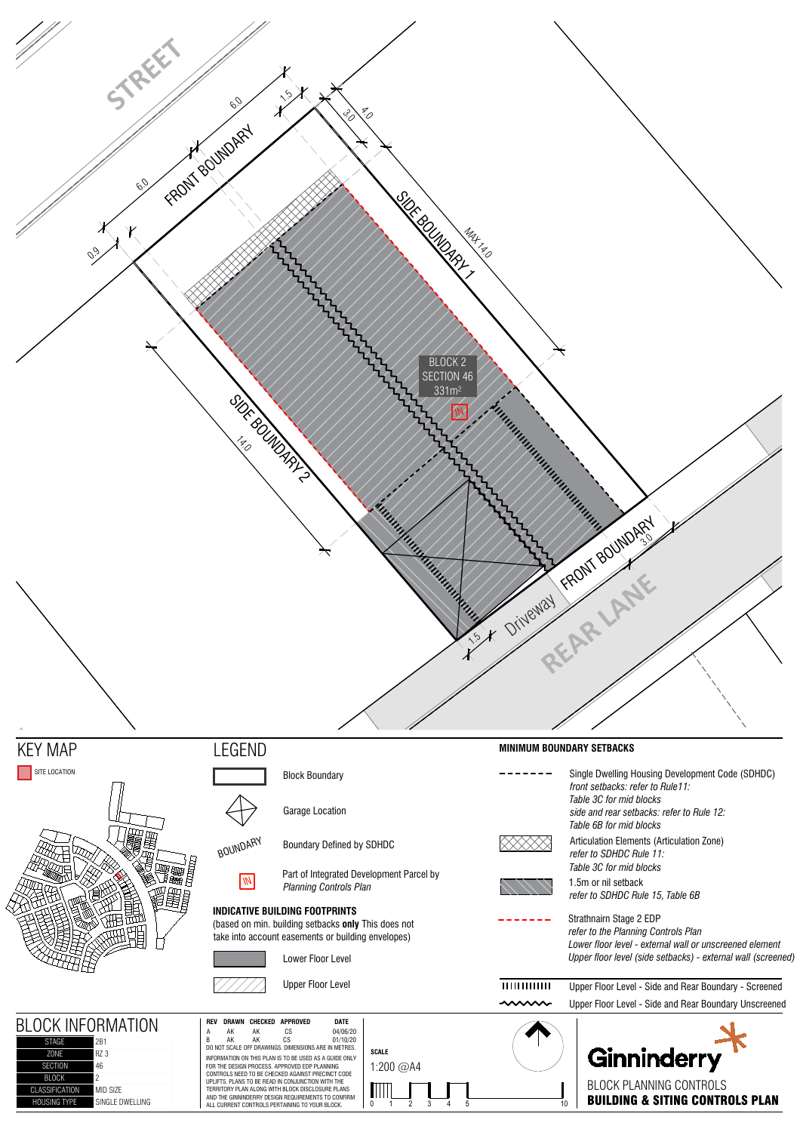